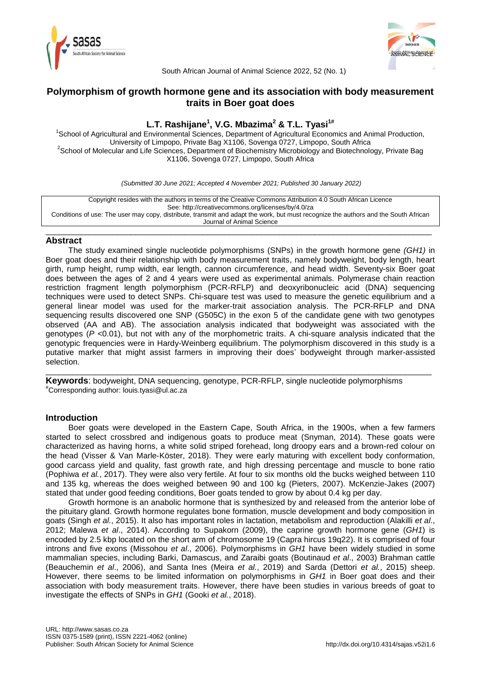



South African Journal of Animal Science 2022, 52 (No. 1)

# **Polymorphism of growth hormone gene and its association with body measurement traits in Boer goat does**

## **L.T. Rashijane<sup>1</sup> , V.G. Mbazima<sup>2</sup> & T.L. Tyasi1#**

<sup>1</sup>School of Agricultural and Environmental Sciences, Department of Agricultural Economics and Animal Production, University of Limpopo, Private Bag X1106, Sovenga 0727, Limpopo, South Africa <sup>2</sup>School of Molecular and Life Sciences, Department of Biochemistry Microbiology and Biotechnology, Private Bag X1106, Sovenga 0727, Limpopo, South Africa

*(Submitted 30 June 2021; Accepted 4 November 2021; Published 30 January 2022)*

Copyright resides with the authors in terms of the Creative Commons Attribution 4.0 South African Licence See: http://creativecommons.org/licenses/by/4.0/za Conditions of use: The user may copy, distribute, transmit and adapt the work, but must recognize the authors and the South African Journal of Animal Science

### \_\_\_\_\_\_\_\_\_\_\_\_\_\_\_\_\_\_\_\_\_\_\_\_\_\_\_\_\_\_\_\_\_\_\_\_\_\_\_\_\_\_\_\_\_\_\_\_\_\_\_\_\_\_\_\_\_\_\_\_\_\_\_\_\_\_\_\_\_\_\_\_\_\_\_\_\_\_\_\_\_\_\_\_\_\_ **Abstract**

The study examined single nucleotide polymorphisms (SNPs) in the growth hormone gene *(GH1)* in Boer goat does and their relationship with body measurement traits, namely bodyweight, body length, heart girth, rump height, rump width, ear length, cannon circumference, and head width. Seventy-six Boer goat does between the ages of 2 and 4 years were used as experimental animals. Polymerase chain reaction restriction fragment length polymorphism (PCR-RFLP) and deoxyribonucleic acid (DNA) sequencing techniques were used to detect SNPs. Chi-square test was used to measure the genetic equilibrium and a general linear model was used for the marker-trait association analysis. The PCR-RFLP and DNA sequencing results discovered one SNP (G505C) in the exon 5 of the candidate gene with two genotypes observed (AA and AB). The association analysis indicated that bodyweight was associated with the genotypes (*P* <0.01), but not with any of the morphometric traits. A chi-square analysis indicated that the genotypic frequencies were in Hardy-Weinberg equilibrium. The polymorphism discovered in this study is a putative marker that might assist farmers in improving their does' bodyweight through marker-assisted selection.

**Keywords**: bodyweight, DNA sequencing, genotype, PCR-RFLP, single nucleotide polymorphisms #Corresponding author: [louis.tyasi@ul.ac.za](mailto:louis.tyasi@ul.ac.za)

\_\_\_\_\_\_\_\_\_\_\_\_\_\_\_\_\_\_\_\_\_\_\_\_\_\_\_\_\_\_\_\_\_\_\_\_\_\_\_\_\_\_\_\_\_\_\_\_\_\_\_\_\_\_\_\_\_\_\_\_\_\_\_\_\_\_\_\_\_\_\_\_\_\_\_\_\_\_\_\_\_\_\_\_\_\_

## **Introduction**

Boer goats were developed in the Eastern Cape, South Africa, in the 1900s, when a few farmers started to select crossbred and indigenous goats to produce meat (Snyman, 2014). These goats were characterized as having horns, a white solid striped forehead, long droopy ears and a brown-red colour on the head (Visser & Van Marle‐Köster, 2018). They were early maturing with excellent body conformation, good carcass yield and quality, fast growth rate, and high dressing percentage and muscle to bone ratio (Pophiwa *et al.*, 2017). They were also very fertile. At four to six months old the bucks weighed between 110 and 135 kg, whereas the does weighed between 90 and 100 kg (Pieters, 2007). McKenzie-Jakes (2007) stated that under good feeding conditions, Boer goats tended to grow by about 0.4 kg per day.

Growth hormone is an anabolic hormone that is synthesized by and released from the anterior lobe of the pituitary gland. Growth hormone regulates bone formation, muscle development and body composition in goats (Singh *et al.*, 2015). It also has important roles in lactation, metabolism and reproduction (Alakilli *et al*., 2012; Malewa *et al*., 2014). According to Supakorn (2009), the caprine growth hormone gene (*GH1*) is encoded by 2.5 kbp located on the short arm of chromosome 19 (Capra hircus 19q22). It is comprised of four introns and five exons (Missohou *et al*., 2006). Polymorphisms in *GH1* have been widely studied in some mammalian species, including Barki, Damascus, and Zaraibi goats (Boutinaud *et al*., 2003) Brahman cattle (Beauchemin *et al*., 2006), and Santa Ines (Meira *et al.*, 2019) and Sarda (Dettori *et al.*, 2015) sheep. However, there seems to be limited information on polymorphisms in *GH1* in Boer goat does and their association with body measurement traits. However, there have been studies in various breeds of goat to investigate the effects of SNPs in *GH1* (Gooki *et al.*, 2018).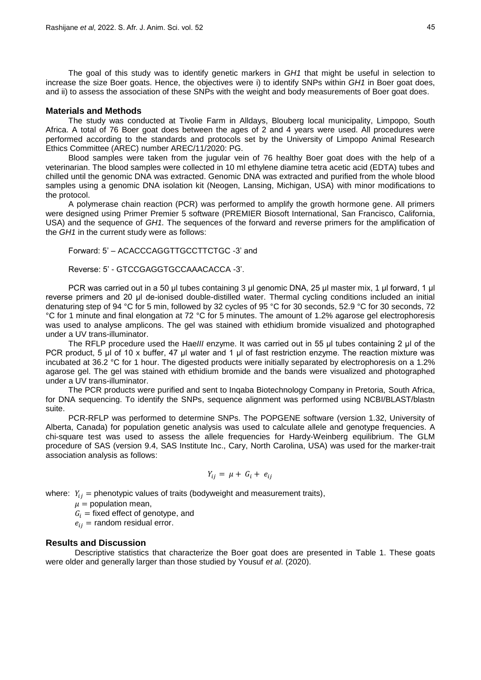The goal of this study was to identify genetic markers in *GH1* that might be useful in selection to increase the size Boer goats. Hence, the objectives were i) to identify SNPs within *GH1* in Boer goat does, and ii) to assess the association of these SNPs with the weight and body measurements of Boer goat does.

### **Materials and Methods**

The study was conducted at Tivolie Farm in Alldays, Blouberg local municipality, Limpopo, South Africa. A total of 76 Boer goat does between the ages of 2 and 4 years were used. All procedures were performed according to the standards and protocols set by the University of Limpopo Animal Research Ethics Committee (AREC) number AREC/11/2020: PG.

Blood samples were taken from the jugular vein of 76 healthy Boer goat does with the help of a veterinarian. The blood samples were collected in 10 ml ethylene diamine tetra acetic acid (EDTA) tubes and chilled until the genomic DNA was extracted. Genomic DNA was extracted and purified from the whole blood samples using a genomic DNA isolation kit (Neogen, Lansing, Michigan, USA) with minor modifications to the protocol.

A polymerase chain reaction (PCR) was performed to amplify the growth hormone gene. All primers were designed using Primer Premier 5 software (PREMIER Biosoft International, San Francisco, California, USA) and the sequence of *GH1.* The sequences of the forward and reverse primers for the amplification of the *GH1* in the current study were as follows:

Forward: 5' – ACACCCAGGTTGCCTTCTGC -3' and

Reverse: 5' - GTCCGAGGTGCCAAACACCA -3'.

PCR was carried out in a 50 μl tubes containing 3 μl genomic DNA, 25 μl master mix, 1 μl forward, 1 μl reverse primers and 20 μl de-ionised double-distilled water. Thermal cycling conditions included an initial denaturing step of 94 °C for 5 min, followed by 32 cycles of 95 °C for 30 seconds, 52.9 °C for 30 seconds, 72 °C for 1 minute and final elongation at 72 °C for 5 minutes. The amount of 1.2% agarose gel electrophoresis was used to analyse amplicons. The gel was stained with ethidium bromide visualized and photographed under a UV trans-illuminator.

The RFLP procedure used the Hae*III* enzyme. It was carried out in 55 μl tubes containing 2 μl of the PCR product, 5 μl of 10 x buffer, 47 μl water and 1 μl of fast restriction enzyme. The reaction mixture was incubated at 36.2 °C for 1 hour. The digested products were initially separated by electrophoresis on a 1.2% agarose gel. The gel was stained with ethidium bromide and the bands were visualized and photographed under a UV trans-illuminator.

The PCR products were purified and sent to Inqaba Biotechnology Company in Pretoria, South Africa, for DNA sequencing. To identify the SNPs, sequence alignment was performed using NCBI/BLAST/blastn suite.

PCR-RFLP was performed to determine SNPs. The POPGENE software (version 1.32, University of Alberta, Canada) for population genetic analysis was used to calculate allele and genotype frequencies. A chi-square test was used to assess the allele frequencies for Hardy-Weinberg equilibrium. The GLM procedure of SAS (version 9.4, SAS Institute Inc., Cary, North Carolina, USA) was used for the marker-trait association analysis as follows:

$$
Y_{ij} = \mu + G_i + e_{ij}
$$

where:  $Y_{ij}$  = phenotypic values of traits (bodyweight and measurement traits),

 $\mu$  = population mean,

 $G_i$  = fixed effect of genotype, and

 $e_{ij}$  = random residual error.

### **Results and Discussion**

Descriptive statistics that characterize the Boer goat does are presented in Table 1. These goats were older and generally larger than those studied by Yousuf *et al*. (2020).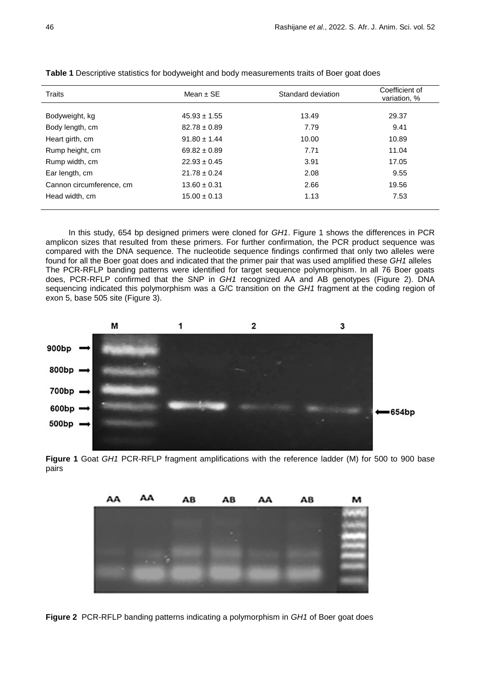| Traits                   | Mean $\pm$ SE    | Standard deviation | Coefficient of<br>variation, % |
|--------------------------|------------------|--------------------|--------------------------------|
|                          |                  |                    |                                |
| Bodyweight, kg           | $45.93 \pm 1.55$ | 13.49              | 29.37                          |
| Body length, cm          | $82.78 \pm 0.89$ | 7.79               | 9.41                           |
| Heart girth, cm          | $91.80 \pm 1.44$ | 10.00              | 10.89                          |
| Rump height, cm          | $69.82 \pm 0.89$ | 7.71               | 11.04                          |
| Rump width, cm           | $22.93 \pm 0.45$ | 3.91               | 17.05                          |
| Ear length, cm           | $21.78 \pm 0.24$ | 2.08               | 9.55                           |
| Cannon circumference, cm | $13.60 \pm 0.31$ | 2.66               | 19.56                          |
| Head width, cm           | $15.00 \pm 0.13$ | 1.13               | 7.53                           |

**Table 1** Descriptive statistics for bodyweight and body measurements traits of Boer goat does

In this study, 654 bp designed primers were cloned for *GH1*. Figure 1 shows the differences in PCR amplicon sizes that resulted from these primers. For further confirmation, the PCR product sequence was compared with the DNA sequence. The nucleotide sequence findings confirmed that only two alleles were found for all the Boer goat does and indicated that the primer pair that was used amplified these *GH1* alleles The PCR-RFLP banding patterns were identified for target sequence polymorphism. In all 76 Boer goats does, PCR-RFLP confirmed that the SNP in *GH1* recognized AA and AB genotypes (Figure 2). DNA sequencing indicated this polymorphism was a G/C transition on the *GH1* fragment at the coding region of exon 5, base 505 site (Figure 3).



**Figure 1** Goat *GH1* PCR-RFLP fragment amplifications with the reference ladder (M) for 500 to 900 base pairs



**Figure 2** PCR-RFLP banding patterns indicating a polymorphism in *GH1* of Boer goat does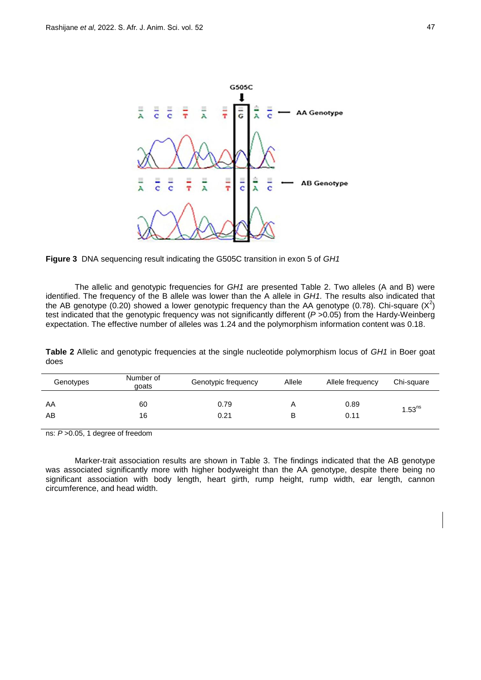

**Figure 3** DNA sequencing result indicating the G505C transition in exon 5 of *GH1*

The allelic and genotypic frequencies for *GH1* are presented Table 2. Two alleles (A and B) were identified. The frequency of the B allele was lower than the A allele in *GH1.* The results also indicated that the AB genotype (0.20) showed a lower genotypic frequency than the AA genotype (0.78). Chi-square ( $X^2$ ) test indicated that the genotypic frequency was not significantly different (*P* >0.05) from the Hardy-Weinberg expectation. The effective number of alleles was 1.24 and the polymorphism information content was 0.18.

**Table 2** Allelic and genotypic frequencies at the single nucleotide polymorphism locus of *GH1* in Boer goat does

| Genotypes | Number of<br>goats | Genotypic frequency | Allele | Allele frequency | Chi-square         |
|-----------|--------------------|---------------------|--------|------------------|--------------------|
| AA        | 60                 | 0.79                |        | 0.89             | $1.53^{\text{ns}}$ |
| AB        | 16                 | 0.21                |        | 0.11             |                    |

ns: *P* >0.05, 1 degree of freedom

Marker-trait association results are shown in Table 3. The findings indicated that the AB genotype was associated significantly more with higher bodyweight than the AA genotype, despite there being no significant association with body length, heart girth, rump height, rump width, ear length, cannon circumference, and head width.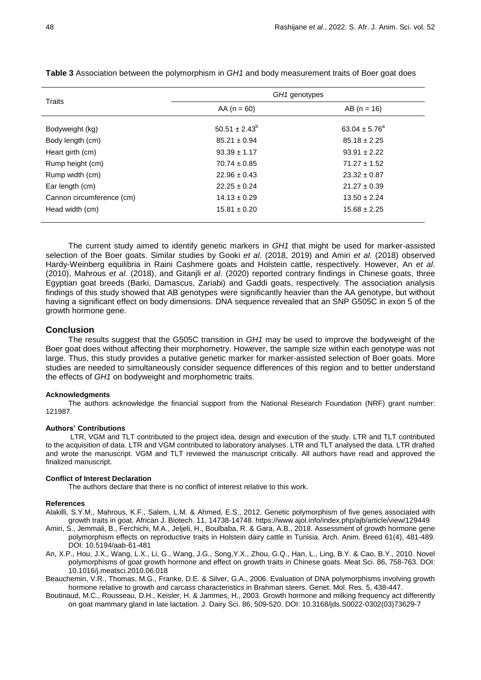| GH1 genotypes      |                    |  |
|--------------------|--------------------|--|
| $AA (n = 60)$      | $AB (n = 16)$      |  |
| $50.51 \pm 2.43^b$ | $63.04 \pm 5.76^a$ |  |
| $85.21 \pm 0.94$   | $85.18 \pm 2.25$   |  |
| $93.39 \pm 1.17$   | $93.91 \pm 2.22$   |  |
| $70.74 \pm 0.85$   | $71.27 \pm 1.52$   |  |
| $22.96 \pm 0.43$   | $23.32 \pm 0.87$   |  |
| $22.25 \pm 0.24$   | $21.27 \pm 0.39$   |  |
| $14.13 \pm 0.29$   | $13.50 \pm 2.24$   |  |
| $15.81 \pm 0.20$   | $15.68 \pm 2.25$   |  |
|                    |                    |  |

**Table 3** Association between the polymorphism in *GH1* and body measurement traits of Boer goat does

The current study aimed to identify genetic markers in *GH1* that might be used for marker-assisted selection of the Boer goats. Similar studies by Gooki *et al*. (2018, 2019) and Amiri *et al*. (2018) observed Hardy-Weinberg equilibria in Raini Cashmere goats and Holstein cattle, respectively. However, An *et al*. (2010), Mahrous *et al*. (2018), and Gitanjli *et al*. (2020) reported contrary findings in Chinese goats, three Egyptian goat breeds (Barki, Damascus, Zariabi) and Gaddi goats, respectively. The association analysis findings of this study showed that AB genotypes were significantly heavier than the AA genotype, but without having a significant effect on body dimensions. DNA sequence revealed that an SNP G505C in exon 5 of the growth hormone gene.

### **Conclusion**

The results suggest that the G505C transition in *GH1* may be used to improve the bodyweight of the Boer goat does without affecting their morphometry. However, the sample size within each genotype was not large. Thus, this study provides a putative genetic marker for marker-assisted selection of Boer goats. More studies are needed to simultaneously consider sequence differences of this region and to better understand the effects of *GH1* on bodyweight and morphometric traits.

#### **Acknowledgments**

The authors acknowledge the financial support from the National Research Foundation (NRF) grant number: 121987.

#### **Authors' Contributions**

LTR, VGM and TLT contributed to the project idea, design and execution of the study. LTR and TLT contributed to the acquisition of data. LTR and VGM contributed to laboratory analyses. LTR and TLT analysed the data. LTR drafted and wrote the manuscript. VGM and TLT reviewed the manuscript critically. All authors have read and approved the finalized manuscript.

#### **Conflict of Interest Declaration**

The authors declare that there is no conflict of interest relative to this work.

#### **References**

- Alakilli, S.Y.M., Mahrous, K.F., Salem, L.M. & Ahmed, E.S., 2012. Genetic polymorphism of five genes associated with growth traits in goat. African J. Biotech. 11, 14738-14748. https://www.ajol.info/index.php/ajb/article/view/129449
- Amiri, S., Jemmali, B., Ferchichi, M.A., Jeljeli, H., Boulbaba, R. & Gara, A.B., 2018. Assessment of growth hormone gene polymorphism effects on reproductive traits in Holstein dairy cattle in Tunisia. Arch. Anim. Breed 61(4), 481-489. DOI: 10.5194/aab-61-481
- An, X.P., Hou, J.X., Wang, L.X., Li, G., Wang, J.G., Song,Y.X., Zhou, G.Q., Han, L., Ling, B.Y. & Cao, B.Y., 2010. Novel polymorphisms of goat growth hormone and effect on growth traits in Chinese goats. Meat Sci. 86, 758-763. DOI: 10.1016/j.meatsci.2010.06.018
- Beauchemin, V.R., Thomas, M.G., Franke, D.E. & Silver, G.A., 2006. Evaluation of DNA polymorphisms involving growth hormone relative to growth and carcass characteristics in Brahman steers. Genet. Mol. Res. 5, 438-447.
- Boutinaud, M.C., Rousseau, D.H., Keisler, H. & Jammes, H., 2003. Growth hormone and milking frequency act differently on goat mammary gland in late lactation. J. Dairy Sci. 86, 509-520. DOI: 10.3168/jds.S0022-0302(03)73629-7